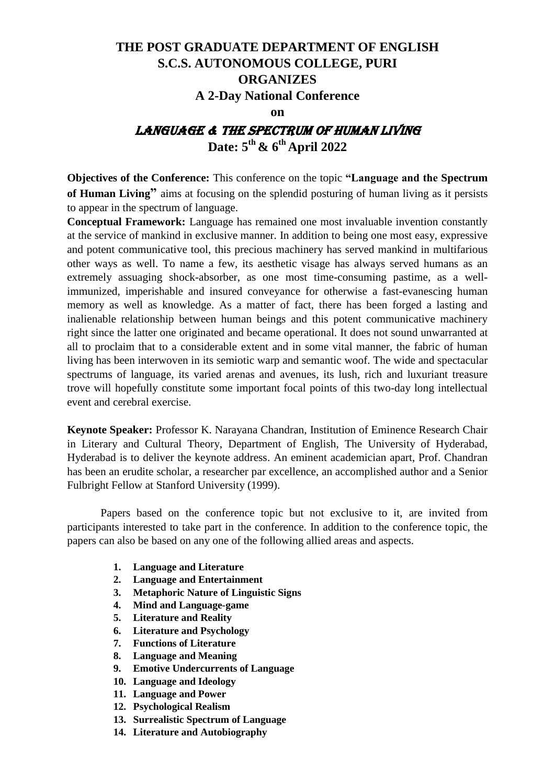# **THE POST GRADUATE DEPARTMENT OF ENGLISH S.C.S. AUTONOMOUS COLLEGE, PURI ORGANIZES**

# **A 2-Day National Conference**

**on**

# Language & the Spectrum of Human Living **Date: 5 th & 6 th April 2022**

**Objectives of the Conference:** This conference on the topic **"Language and the Spectrum of Human Living"** aims at focusing on the splendid posturing of human living as it persists to appear in the spectrum of language.

**Conceptual Framework:** Language has remained one most invaluable invention constantly at the service of mankind in exclusive manner. In addition to being one most easy, expressive and potent communicative tool, this precious machinery has served mankind in multifarious other ways as well. To name a few, its aesthetic visage has always served humans as an extremely assuaging shock-absorber, as one most time-consuming pastime, as a wellimmunized, imperishable and insured conveyance for otherwise a fast-evanescing human memory as well as knowledge. As a matter of fact, there has been forged a lasting and inalienable relationship between human beings and this potent communicative machinery right since the latter one originated and became operational. It does not sound unwarranted at all to proclaim that to a considerable extent and in some vital manner, the fabric of human living has been interwoven in its semiotic warp and semantic woof. The wide and spectacular spectrums of language, its varied arenas and avenues, its lush, rich and luxuriant treasure trove will hopefully constitute some important focal points of this two-day long intellectual event and cerebral exercise.

**Keynote Speaker:** Professor K. Narayana Chandran, Institution of Eminence Research Chair in Literary and Cultural Theory, Department of English, The University of Hyderabad, Hyderabad is to deliver the keynote address. An eminent academician apart, Prof. Chandran has been an erudite scholar, a researcher par excellence, an accomplished author and a Senior Fulbright Fellow at Stanford University (1999).

Papers based on the conference topic but not exclusive to it, are invited from participants interested to take part in the conference. In addition to the conference topic, the papers can also be based on any one of the following allied areas and aspects.

- **1. Language and Literature**
- **2. Language and Entertainment**
- **3. Metaphoric Nature of Linguistic Signs**
- **4. Mind and Language-game**
- **5. Literature and Reality**
- **6. Literature and Psychology**
- **7. Functions of Literature**
- **8. Language and Meaning**
- **9. Emotive Undercurrents of Language**
- **10. Language and Ideology**
- **11. Language and Power**
- **12. Psychological Realism**
- **13. Surrealistic Spectrum of Language**
- **14. Literature and Autobiography**